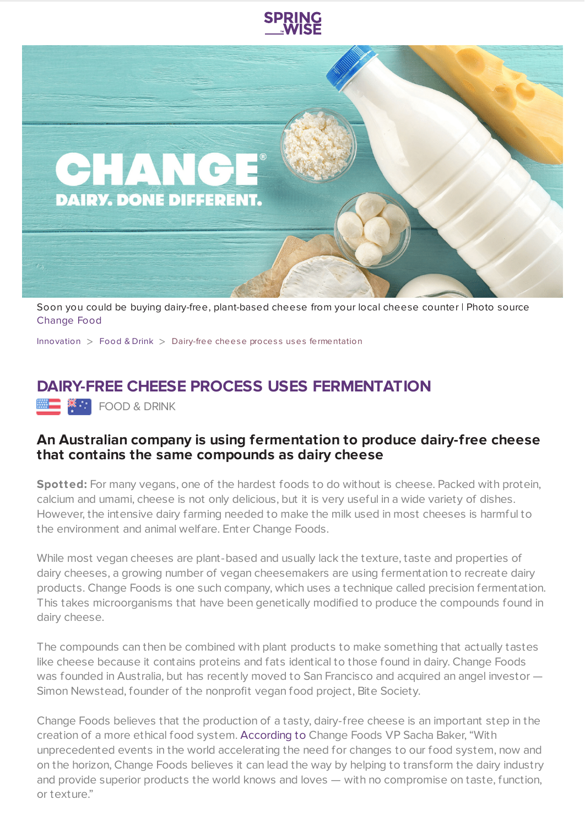

Soon you could be buying dairy-free, plant-based cheese from your local cheese counter | Photo source [Change](https://www.changefoods.com/index.html) Food

[Innovation](https://www.springwise.com/search?type=innovation)  $>$  [Food](https://www.springwise.com/search?type=innovation§or=food-and-drink) & Drink  $>$  Dairy-free cheese process uses fermentation

## **DAIRY-FREE CHEESE PROCESS USES FERMENTATION**

**MEDIAN SERVICE** FOOD & DRINK

## **An Australian company is using fermentation to produce dairy-free cheese that contains the same compounds as dairy cheese**

**Spotted:** For many vegans, one of the hardest foods to do without is cheese. Packed with protein, calcium and umami, cheese is not only delicious, but it is very useful in a wide variety of dishes. However, the intensive dairy farming needed to make the milk used in most cheeses is harmful to the environment and animal welfare. Enter Change Foods.

While most vegan cheeses are plant-based and usually lack the texture, taste and properties of dairy cheeses, a growing number of vegan cheesemakers are using fermentation to recreate dairy products. Change Foods is one such company, which uses a technique called precision fermentation. This takes microorganisms that have been genetically modified to produce the compounds found in dairy cheese.

The compounds can then be combined with plant products to make something that actually tastes like cheese because it contains proteins and fats identical to those found in dairy. Change Foods was founded in Australia, but has recently moved to San Francisco and acquired an angel investor — Simon Newstead, founder of the nonprofit vegan food project, Bite Society.

Change Foods believes that the production of a tasty, dairy-free cheese is an important step in the creation of a more ethical food system. [According](https://thespoon.tech/change-foods-creates-cheese-through-fermentation/?mc_cid=3f75b57d09&mc_eid=ff6b9b819c) to Change Foods VP Sacha Baker, "With unprecedented events in the world accelerating the need for changes to our food system, now and on the horizon, Change Foods believes it can lead the way by helping to transform the dairy industry and provide superior products the world knows and loves — with no compromise on taste, function, or texture."